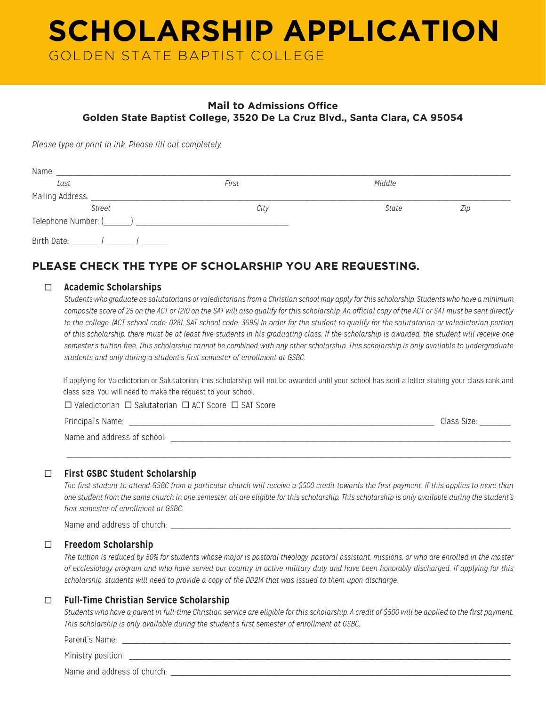# **SCHOLARSHIP APPLICATION** GOLDEN STATE BAPTIST COLLEGE

## **Mail to Admissions Office Golden State Baptist College, 3520 De La Cruz Blvd., Santa Clara, CA 95054**

*Please type or print in ink. Please fill out completely.*

| Name:            |       |        |     |
|------------------|-------|--------|-----|
| Last             | First | Middle |     |
| Mailing Address: |       |        |     |
| <b>Street</b>    | City  | State  | Zip |
|                  |       |        |     |
| Birth Date:      |       |        |     |

# **PLEASE CHECK THE TYPE OF SCHOLARSHIP YOU ARE REQUESTING.**

#### ¨ **Academic Scholarships**

*Students who graduate as salutatorians or valedictorians from a Christian school may apply for this scholarship. Students who have a minimum composite score of 25 on the ACT or 1210 on the SAT will also qualify for this scholarship. An official copy of the ACT or SAT must be sent directly to the college. (ACT school code: 0281, SAT school code: 3695) In order for the student to qualify for the salutatorian or valedictorian portion of this scholarship, there must be at least five students in his graduating class. If the scholarship is awarded, the student will receive one semester's tuition free. This scholarship cannot be combined with any other scholarship. This scholarship is only available to undergraduate students and only during a student's first semester of enrollment at GSBC.*

If applying for Valedictorian or Salutatorian, this scholarship will not be awarded until your school has sent a letter stating your class rank and class size. You will need to make the request to your school.

 $\square$  Valedictorian  $\square$  Salutatorian  $\square$  ACT Score  $\square$  SAT Score

Principal's Name: \_\_\_\_\_\_\_\_\_\_\_\_\_\_\_\_\_\_\_\_\_\_\_\_\_\_\_\_\_\_\_\_\_\_\_\_\_\_\_\_\_\_\_\_\_\_\_\_\_\_\_\_\_\_\_\_\_\_\_\_\_\_\_\_\_\_\_\_\_\_\_\_\_\_\_\_\_\_\_\_\_\_\_\_\_\_\_\_ Class Size: \_\_\_\_\_\_\_\_\_

Name and address of school: \_\_\_\_\_\_\_\_\_\_\_\_\_\_\_\_\_\_\_\_\_\_\_\_\_\_\_\_\_\_\_\_\_\_\_\_\_\_\_\_\_\_\_\_\_\_\_\_\_\_\_\_\_\_\_\_\_\_\_\_\_\_\_\_\_\_\_\_\_\_\_\_\_\_\_\_\_\_\_\_\_\_\_\_\_\_\_\_\_\_\_\_\_\_\_\_\_\_

¨ **First GSBC Student Scholarship**

*The first student to attend GSBC from a particular church will receive a \$500 credit towards the first payment. If this applies to more than one student from the same church in one semester, all are eligible for this scholarship. This scholarship is only available during the student's first semester of enrollment at GSBC.* 

 $\hskip1.5cm$  . The contribution of the contribution of the contribution of the contribution of the contribution of the contribution of the contribution of the contribution of the contribution of the contribution of the contr

Name and address of church:

#### ¨ **Freedom Scholarship**

*The tuition is reduced by 50% for students whose major is pastoral theology, pastoral assistant, missions, or who are enrolled in the master of ecclesiology program and who have served our country in active military duty and have been honorably discharged. If applying for this scholarship, students will need to provide a copy of the DD214 that was issued to them upon discharge.*

#### ¨ **Full-Time Christian Service Scholarship**

*Students who have a parent in full-time Christian service are eligible for this scholarship. A credit of \$500 will be applied to the first payment. This scholarship is only available during the student's first semester of enrollment at GSBC.*

Parent's Name:

Ministry position:

Name and address of church: